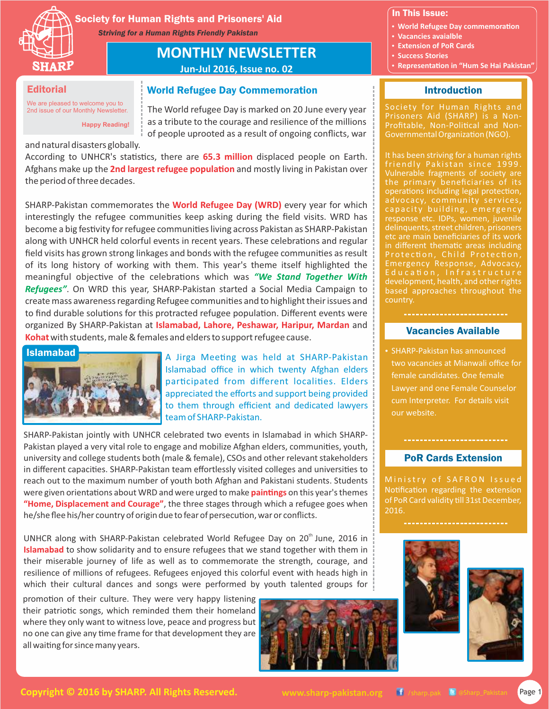

Society for Human Rights and Prisoners' Aid *Striving for a Human Rights Friendly Pakistan*

# **MONTHLY NEWSLETTER**

**Jun-Jul 2016, Issue no. 02**

## **Editorial**

We are pleased to welcome you to 2nd issue of our Monthly Newsletter.

# World Refugee Day Commemoration

The World refugee Day is marked on 20 June every year as a tribute to the courage and resilience of the millions of people uprooted as a result of ongoing conflicts, war

and natural disasters globally.

**Happy Reading!**

According to UNHCR's statistics, there are 65.3 million displaced people on Earth. Afghans make up the **2nd largest refugee population** and mostly living in Pakistan over the period of three decades.

SHARP-Pakistan commemorates the **World Refugee Day (WRD)** every year for which interestingly the refugee communities keep asking during the field visits. WRD has become a big festivity for refugee communities living across Pakistan as SHARP-Pakistan along with UNHCR held colorful events in recent years. These celebrations and regular field visits has grown strong linkages and bonds with the refugee communities as result of its long history of working with them. This year's theme itself highlighted the meaningful objective of the celebrations which was "We Stand Together With *Refugees"*. On WRD this year, SHARP-Pakistan started a Social Media Campaign to create mass awareness regarding Refugee communities and to highlight their issues and to find durable solutions for this protracted refugee population. Different events were organized By SHARP-Pakistan at **Islamabad, Lahore, Peshawar, Haripur, Mardan** and **Kohat**with students, male & females and elders to support refugee cause.

#### Islamabad



A Jirga Meeting was held at SHARP-Pakistan Islamabad office in which twenty Afghan elders participated from different localities. Elders appreciated the efforts and support being provided to them through efficient and dedicated lawyers team of SHARP-Pakistan.

SHARP-Pakistan jointly with UNHCR celebrated two events in Islamabad in which SHARP-Pakistan played a very vital role to engage and mobilize Afghan elders, communities, youth, university and college students both (male & female), CSOs and other relevant stakeholders in different capacities. SHARP-Pakistan team effortlessly visited colleges and universities to reach out to the maximum number of youth both Afghan and Pakistani students. Students were given orientations about WRD and were urged to make **paintings** on this year's themes **"Home, Displacement and Courage"**, the three stages through which a refugee goes when he/she flee his/her country of origin due to fear of persecution, war or conflicts.

UNHCR along with SHARP-Pakistan celebrated World Refugee Day on  $20<sup>th</sup>$  June, 2016 in **Islamabad** to show solidarity and to ensure refugees that we stand together with them in their miserable journey of life as well as to commemorate the strength, courage, and resilience of millions of refugees. Refugees enjoyed this colorful event with heads high in which their cultural dances and songs were performed by youth talented groups for

promotion of their culture. They were very happy listening their patriotic songs, which reminded them their homeland where they only want to witness love, peace and progress but no one can give any time frame for that development they are all waiting for since many years.



#### In This Issue:

- **World Refugee Day commemoration**
- **Vacancies avaialble**
- **Extension of PoR Cards**
- **· Success Stories**
- **Representation in "Hum Se Hai Pakistan"**

# Introduction

Society for Human Rights and Prisoners Aid (SHARP) is a Non-Profitable, Non-Political and Non-Governmental Organization (NGO).

It has been striving for a human rights friendly Pakistan since 1999. Vulnerable fragments of society are the primary beneficiaries of its operations including legal protection, advocacy, community services, capacity building, emergency response etc. IDPs, women, juvenile delinquents, street children, prisoners etc are main beneficiaries of its work in different thematic areas including Protection, Child Protection, Emergency Response, Advocacy, development, health, and other rights based approaches throughout the country.

# Vacancies Available

• SHARP-Pakistan has announced two vacancies at Mianwali office for female candidates. One female Lawyer and one Female Counselor cum Interpreter. For details visit our website.

# PoR Cards Extension

Ministry of SAFRON Issued Notification regarding the extension of PoR Card validity till 31st December, 2016.





**Copyright © 2016 by SHARP. All Rights Reserved. WWW.sharp-pakistan.org T** /sharp.pak **B** @Sharp\_Pakistan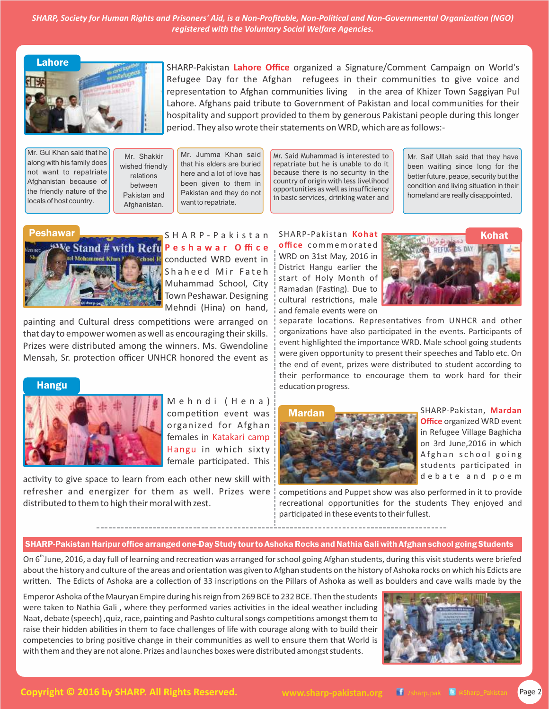*SHARP, Society for Human Rights and Prisoners' Aid, is a Non-Profitable, Non-Political and Non-Governmental Organization (NGO) registered with the Voluntary Social Welfare Agencies.*



SHARP-Pakistan **Lahore Office** organized a Signature/Comment Campaign on World's Refugee Day for the Afghan refugees in their communities to give voice and representation to Afghan communities living in the area of Khizer Town Saggiyan Pul Lahore. Afghans paid tribute to Government of Pakistan and local communities for their hospitality and support provided to them by generous Pakistani people during this longer period. They also wrote their statements on WRD, which are as follows:-

Mr. Gul Khan said that he along with his family does not want to repatriate Afghanistan because of the friendly nature of the locals of host country.

Mr. Shakkir wished friendly relations between Pakistan and Afghanistan.

Mr. Jumma Khan said that his elders are buried here and a lot of love has been given to them in Pakistan and they do not want to repatriate.

Mr. Said Muhammad is interested to repatriate but he is unable to do it because there is no security in the country of origin with less livelihood opportunities as well as insufficiency in basic services, drinking water and

Mr. Saif Ullah said that they have been waiting since long for the better future, peace, security but the condition and living situation in their homeland are really disappointed.



Peshawar **Standard Bandary Standard Standard Standard Standard Standard Standard Standard Standard Standard Standard Standard Standard Standard Standard Standard Standard Standard Standard Standard Standard Standard Standa P e s h a w a r O ffi c e color Executed WRD** event in Shaheed Mir Fateh Muhammad School, City Town Peshawar. Designing Mehndi (Hina) on hand,

painting and Cultural dress competitions were arranged on that day to empower women as well as encouraging their skills. Prizes were distributed among the winners. Ms. Gwendoline Mensah, Sr. protection officer UNHCR honored the event as

#### Hangu



Mehndi (Hena) competition event was organized for Afghan females in Katakari camp Hangu in which sixty female participated. This

activity to give space to learn from each other new skill with refresher and energizer for them as well. Prizes were distributed to them to high their moral with zest.

**office** commemorated WRD on 31st May, 2016 in District Hangu earlier the start of Holy Month of Ramadan (Fasting). Due to cultural restrictions, male and female events were on



separate locations. Representatives from UNHCR and other organizations have also participated in the events. Participants of event highlighted the importance WRD. Male school going students were given opportunity to present their speeches and Tablo etc. On the end of event, prizes were distributed to student according to their performance to encourage them to work hard for their education progress.



SHARP-Pakistan, **Mardan Office** organized WRD event in Refugee Village Baghicha on 3rd June,2016 in which A f g h a n s c h o o l g o i n g students participated in debate and poem

competitions and Puppet show was also performed in it to provide recreational opportunities for the students They enjoyed and participated in these events to their fullest.

#### SHARP-Pakistan Haripur office arranged one-Day Study tour to Ashoka Rocks and Nathia Gali with Afghan school going Students

On 6<sup>th</sup> June, 2016, a day full of learning and recreation was arranged for school going Afghan students, during this visit students were briefed about the history and culture of the areas and orientation was given to Afghan students on the history of Ashoka rocks on which his Edicts are written. The Edicts of Ashoka are a collection of 33 inscriptions on the Pillars of Ashoka as well as boulders and cave walls made by the

Emperor Ashoka of the Mauryan Empire during his reign from 269 BCE to 232 BCE. Then the students were taken to Nathia Gali, where they performed varies activities in the ideal weather including Naat, debate (speech), quiz, race, painting and Pashto cultural songs competitions amongst them to raise their hidden abilities in them to face challenges of life with courage along with to build their competencies to bring positive change in their communities as well to ensure them that World is with them and they are not alone. Prizes and launches boxes were distributed amongst students.

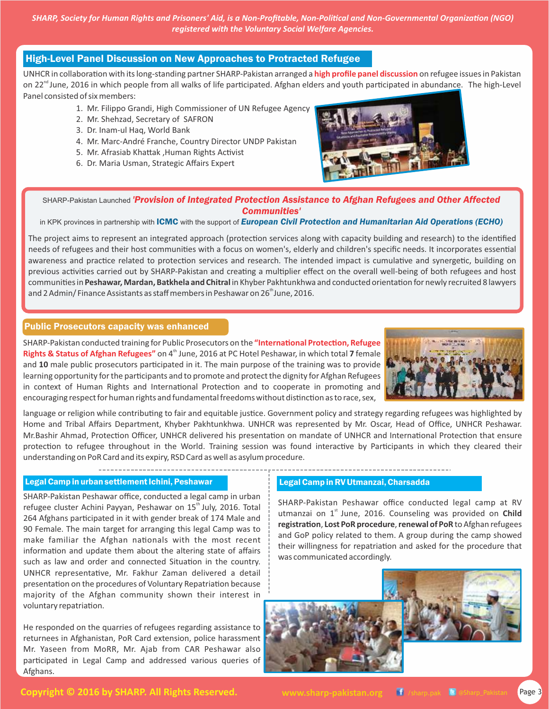*SHARP, Society for Human Rights and Prisoners' Aid, is a Non-Profitable, Non-Political and Non-Governmental Organization (NGO) registered with the Voluntary Social Welfare Agencies.*

# High-Level Panel Discussion on New Approaches to Protracted Refugee

UNHCR in collaboration with its long-standing partner SHARP-Pakistan arranged a **high profile panel discussion** on refugee issues in Pakistan on 22<sup>nd</sup> June, 2016 in which people from all walks of life participated. Afghan elders and youth participated in abundance. The high-Level Panel consisted of six members:

- 1. Mr. Filippo Grandi, High Commissioner of UN Refugee Agency
- 2. Mr. Shehzad, Secretary of SAFRON
- 3. Dr. Inam-ul Haq, World Bank
- 4. Mr. Marc-André Franche, Country Director UNDP Pakistan
- 5. Mr. Afrasiab Khattak ,Human Rights Activist
- 6. Dr. Maria Usman, Strategic Affairs Expert



SHARP-Pakistan Launched *'Provision of Integrated Protection Assistance to Afghan Refugees and Other Affected Communities'*

in KPK provinces in partnership with ICMC with the support of *European Civil Protection and Humanitarian Aid Operations (ECHO)*

The project aims to represent an integrated approach (protection services along with capacity building and research) to the identified needs of refugees and their host communities with a focus on women's, elderly and children's specific needs. It incorporates essential awareness and practice related to protection services and research. The intended impact is cumulative and synergetic, building on previous activities carried out by SHARP-Pakistan and creating a multiplier effect on the overall well-being of both refugees and host communities in Peshawar, Mardan, Batkhela and Chitral in Khyber Pakhtunkhwa and conducted orientation for newly recruited 8 lawyers and 2 Admin/ Finance Assistants as staff members in Peshawar on 26 $^{\text{th}}$ June, 2016.

### Public Prosecutors capacity was enhanced

SHARP-Pakistan conducted training for Public Prosecutors on the "International Protection, Refugee Rights & Status of Afghan Refugees" on 4<sup>th</sup> June, 2016 at PC Hotel Peshawar, in which total 7 female and 10 male public prosecutors participated in it. The main purpose of the training was to provide learning opportunity for the participants and to promote and protect the dignity for Afghan Refugees in context of Human Rights and International Protection and to cooperate in promoting and encouraging respect for human rights and fundamental freedoms without distinction as to race, sex,



language or religion while contributing to fair and equitable justice. Government policy and strategy regarding refugees was highlighted by Home and Tribal Affairs Department, Khyber Pakhtunkhwa. UNHCR was represented by Mr. Oscar, Head of Office, UNHCR Peshawar. Mr.Bashir Ahmad, Protection Officer, UNHCR delivered his presentation on mandate of UNHCR and International Protection that ensure protection to refugee throughout in the World. Training session was found interactive by Participants in which they cleared their understanding on PoR Card and its expiry, RSD Card as well as asylum procedure.

### Legal Camp in urban settlement Ichini, Peshawar Legal Camp in RV Utmanzai, Charsadda

SHARP-Pakistan Peshawar office, conducted a legal camp in urban refugee cluster Achini Payyan, Peshawar on 15<sup>th</sup> July, 2016. Total 264 Afghans participated in it with gender break of 174 Male and 90 Female. The main target for arranging this legal Camp was to make familiar the Afghan nationals with the most recent information and update them about the altering state of affairs such as law and order and connected Situation in the country. UNHCR representative, Mr. Fakhur Zaman delivered a detail presentation on the procedures of Voluntary Repatriation because majority of the Afghan community shown their interest in voluntary repatriation.

He responded on the quarries of refugees regarding assistance to returnees in Afghanistan, PoR Card extension, police harassment Mr. Yaseen from MoRR, Mr. Ajab from CAR Peshawar also participated in Legal Camp and addressed various queries of Afghans.

SHARP-Pakistan Peshawar office conducted legal camp at RV utmanzai on 1<sup>st</sup> June, 2016. Counseling was provided on Child **registration, Lost PoR procedure, renewal of PoR** to Afghan refugees and GoP policy related to them. A group during the camp showed their willingness for repatriation and asked for the procedure that was communicated accordingly.

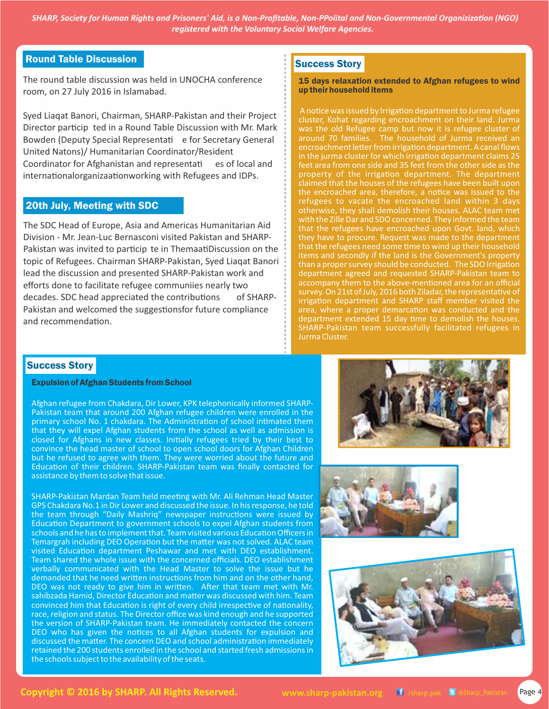*SHARP, Society for Human Rights and Prisoners' Aid, is a Non-Profitable, Non-PPolital and Non-Governmental Organizization (NGO) registered with the Voluntary Social Welfare Agencies.*

# Round Table Discussion

The round table discussion was held in UNOCHA conference room, on 27 July 2016 in Islamabad.

Syed Liaqat Banori, Chairman, SHARP-Pakistan and their Project Director particip ted in a Round Table Discussion with Mr. Mark Bowden (Deputy Special Representati e for Secretary General United Natons)/ Humanitarian Coordinator/Resident Coordinator for Afghanistan and representati es of local and internationalorganizaationworking with Refugees and IDPs.

### 20th July, Meeting with SDC

The SDC Head of Europe, Asia and Americas Humanitarian Aid Division - Mr. Jean-Luc Bernasconi visited Pakistan and SHARP-Pakistan was invited to particip te in ThemaatiDiscussion on the topic of Refugees. Chairman SHARP-Pakistan, Syed Liaqat Banori lead the discussion and presented SHARP-Pakistan work and efforts done to facilitate refugee communiies nearly two decades. SDC head appreciated the contributions of SHARP-Pakistan and welcomed the suggestionsfor future compliance and recommendation.

# Success Story

#### 15 days relaxation extended to Afghan refugees to wind up their household items

A notice was issued by Irrigation department to Jurma refugee cluster, Kohat regarding encroachment on their land. Jurma was the old Refugee camp but now it is refugee cluster of around 70 families. The household of Jurma received an encroachment letter from irrigation department. A canal flows in the jurma cluster for which irrigation department claims 25 feet area from one side and 35 feet from the other side as the property of the irrigation department. The department claimed that the houses of the refugees have been built upon the encroached area, therefore, a notice was issued to the refugees to vacate the encroached land within 3 days otherwise, they shall demolish their houses. ALAC team met with the Zille Dar and SDO concerned. They informed the team that the refugees have encroached upon Govt. land, which they have to procure. Request was made to the department that the refugees need some time to wind up their household items and secondly if the land is the Government's property than a proper survey should be conducted. The SDO Irrigation department agreed and requested SHARP-Pakistan team to accompany them to the above-mentioned area for an official survey. On 21st of July, 2016 both Ziladar, the representative of irrigation department and SHARP staff member visited the area, where a proper demarcation was conducted and the department extended 15 day time to demolish the houses. SHARP-Pakistan team successfully facilitated refugees in Jurma Cluster.

## Success Story

#### Expulsion of Afghan Students from School

Afghan refugee from Chakdara, Dir Lower, KPK telephonically informed SHARP-Pakistan team that around 200 Afghan refugee children were enrolled in the primary school No. 1 chakdara. The Administration of school intimated them that they will expel Afghan students from the school as well as admission is closed for Afghans in new classes. Initially refugees tried by their best to convince the head master of school to open school doors for Afghan Children but he refused to agree with them. They were worried about the future and Education of their children. SHARP-Pakistan team was finally contacted for assistance by them to solve that issue.

SHARP-Pakistan Mardan Team held meeting with Mr. Ali Rehman Head Master GPS Chakdara No.1 in Dir Lower and discussed the issue. In his response, he told the team through "Daily Mashriq" newspaper instructions were issued by Education Department to government schools to expel Afghan students from schools and he has to implement that. Team visited various Education Officers in Temargrah including DEO Operation but the matter was not solved. ALAC team visited Education department Peshawar and met with DEO establishment. Team shared the whole issue with the concerned officials. DEO establishment verbally communicated with the Head Master to solve the issue but he demanded that he need written instructions from him and on the other hand, DEO was not ready to give him in written. After that team met with Mr. sahibzada Hamid, Director Education and matter was discussed with him. Team convinced him that Education is right of every child irrespective of nationality, race, religion and status. The Director office was kind enough and he supported the version of SHARP-Pakistan team. He immediately contacted the concern DEO who has given the notices to all Afghan students for expulsion and discussed the matter. The concern DEO and school administration immediately retained the 200 students enrolled in the school and started fresh admissions in the schools subject to the availability of the seats.